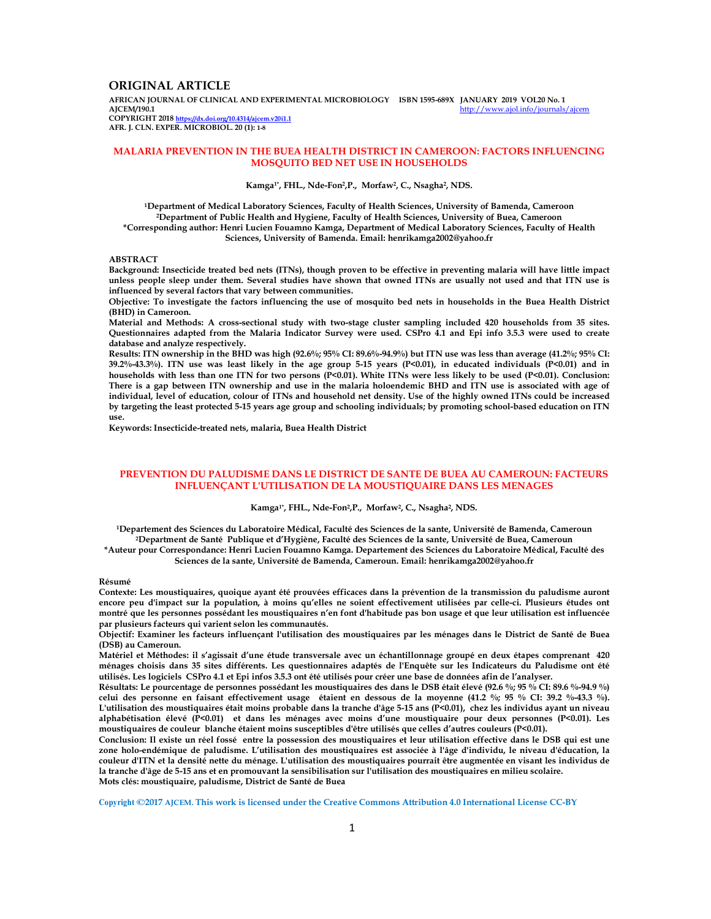# **ORIGINAL ARTICLE**

**AFRICAN JOURNAL OF CLINICAL AND EXPERIMENTAL MICROBIOLOGY ISBN 1595-689X JANUARY 2019 VOL20 No. 1 AJCEM/190.1** http://www.ajol.info/journals/ajcem **COPYRIGHT 2018 https://dx.doi.org/10.4314/ajcem.v20i1.1** 

**AFR. J. CLN. EXPER. MICROBIOL. 20 (1): 1-8**

### **MALARIA PREVENTION IN THE BUEA HEALTH DISTRICT IN CAMEROON: FACTORS INFLUENCING MOSQUITO BED NET USE IN HOUSEHOLDS**

#### **Kamga1\*, FHL., Nde-Fon<sup>2</sup> ,P., Morfaw<sup>2</sup> , C., Nsagha<sup>2</sup> , NDS.**

**<sup>1</sup>Department of Medical Laboratory Sciences, Faculty of Health Sciences, University of Bamenda, Cameroon <sup>2</sup>Department of Public Health and Hygiene, Faculty of Health Sciences, University of Buea, Cameroon \*Corresponding author: Henri Lucien Fouamno Kamga, Department of Medical Laboratory Sciences, Faculty of Health Sciences, University of Bamenda. Email: henrikamga2002@yahoo.fr** 

### **ABSTRACT**

**Background: Insecticide treated bed nets (ITNs), though proven to be effective in preventing malaria will have little impact unless people sleep under them. Several studies have shown that owned ITNs are usually not used and that ITN use is influenced by several factors that vary between communities.** 

**Objective: To investigate the factors influencing the use of mosquito bed nets in households in the Buea Health District (BHD) in Cameroon.** 

**Material and Methods: A cross-sectional study with two-stage cluster sampling included 420 households from 35 sites. Questionnaires adapted from the Malaria Indicator Survey were used. CSPro 4.1 and Epi info 3.5.3 were used to create database and analyze respectively.** 

**Results: ITN ownership in the BHD was high (92.6%; 95% CI: 89.6%-94.9%) but ITN use was less than average (41.2%; 95% CI: 39.2%-43.3%). ITN use was least likely in the age group 5-15 years (P<0.01), in educated individuals (P<0.01) and in households with less than one ITN for two persons (P<0.01). White ITNs were less likely to be used (P<0.01). Conclusion: There is a gap between ITN ownership and use in the malaria holoendemic BHD and ITN use is associated with age of individual, level of education, colour of ITNs and household net density. Use of the highly owned ITNs could be increased by targeting the least protected 5-15 years age group and schooling individuals; by promoting school-based education on ITN use.** 

**Keywords: Insecticide-treated nets, malaria, Buea Health District** 

### **PREVENTION DU PALUDISME DANS LE DISTRICT DE SANTE DE BUEA AU CAMEROUN: FACTEURS INFLUENÇANT L'UTILISATION DE LA MOUSTIQUAIRE DANS LES MENAGES**

#### **Kamga1\*, FHL., Nde-Fon<sup>2</sup> ,P., Morfaw<sup>2</sup> , C., Nsagha<sup>2</sup> , NDS.**

**<sup>1</sup>Departement des Sciences du Laboratoire Médical, Faculté des Sciences de la sante, Université de Bamenda, Cameroun <sup>2</sup>Department de Santé Publique et d'Hygiène, Faculté des Sciences de la sante, Université de Buea, Cameroun \*Auteur pour Correspondance: Henri Lucien Fouamno Kamga. Departement des Sciences du Laboratoire Médical, Faculté des Sciences de la sante, Université de Bamenda, Cameroun. Email: henrikamga2002@yahoo.fr** 

#### **Résumé**

**Contexte: Les moustiquaires, quoique ayant été prouvées efficaces dans la prévention de la transmission du paludisme auront encore peu d'impact sur la population, à moins qu'elles ne soient effectivement utilisées par celle-ci. Plusieurs études ont montré que les personnes possédant les moustiquaires n'en font d'habitude pas bon usage et que leur utilisation est influencée par plusieurs facteurs qui varient selon les communautés.** 

**Objectif: Examiner les facteurs influençant l'utilisation des moustiquaires par les ménages dans le District de Santé de Buea (DSB) au Cameroun.** 

**Matériel et Méthodes: il s'agissait d'une étude transversale avec un échantillonnage groupé en deux étapes comprenant 420 ménages choisis dans 35 sites différents. Les questionnaires adaptés de l'Enquête sur les Indicateurs du Paludisme ont été utilisés. Les logiciels CSPro 4.1 et Epi infos 3.5.3 ont été utilisés pour créer une base de données afin de l'analyser.** 

**Résultats: Le pourcentage de personnes possédant les moustiquaires des dans le DSB était élevé (92.6 %; 95 % CI: 89.6 %-94.9 %) celui des personne en faisant effectivement usage étaient en dessous de la moyenne (41.2 %; 95 % CI: 39.2 %-43.3 %). L'utilisation des moustiquaires était moins probable dans la tranche d'âge 5-15 ans (P<0.01), chez les individus ayant un niveau alphabétisation élevé (P<0.01) et dans les ménages avec moins d'une moustiquaire pour deux personnes (P<0.01). Les moustiquaires de couleur blanche étaient moins susceptibles d'être utilisés que celles d'autres couleurs (P<0.01).** 

**Conclusion: Il existe un réel fossé entre la possession des moustiquaires et leur utilisation effective dans le DSB qui est une zone holo-endémique de paludisme. L'utilisation des moustiquaires est associée à l'âge d'individu, le niveau d'éducation, la couleur d'ITN et la densité nette du ménage. L'utilisation des moustiquaires pourrait être augmentée en visant les individus de la tranche d'âge de 5-15 ans et en promouvant la sensibilisation sur l'utilisation des moustiquaires en milieu scolaire. Mots clés: moustiquaire, paludisme, District de Santé de Buea** 

**Copyright ©2017 AJCEM. This work is licensed under the Creative Commons Attribution 4.0 International License CC-BY**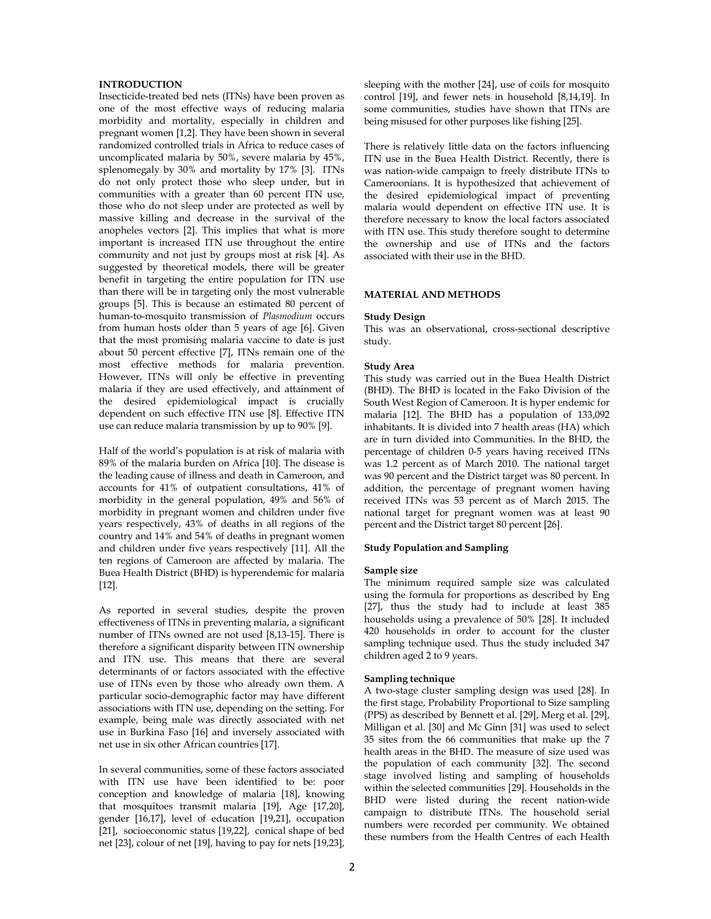### **INTRODUCTION**

Insecticide-treated bed nets (ITNs) have been proven as one of the most effective ways of reducing malaria morbidity and mortality, especially in children and pregnant women [1,2]. They have been shown in several randomized controlled trials in Africa to reduce cases of uncomplicated malaria by 50%, severe malaria by 45%, splenomegaly by 30% and mortality by 17% [3]. ITNs do not only protect those who sleep under, but in communities with a greater than 60 percent ITN use, those who do not sleep under are protected as well by massive killing and decrease in the survival of the anopheles vectors [2]. This implies that what is more important is increased ITN use throughout the entire community and not just by groups most at risk [4]. As suggested by theoretical models, there will be greater benefit in targeting the entire population for ITN use than there will be in targeting only the most vulnerable groups [5]. This is because an estimated 80 percent of human-to-mosquito transmission of *Plasmodium* occurs from human hosts older than 5 years of age [6]. Given that the most promising malaria vaccine to date is just about 50 percent effective [7], ITNs remain one of the most effective methods for malaria prevention. However, ITNs will only be effective in preventing malaria if they are used effectively, and attainment of the desired epidemiological impact is crucially dependent on such effective ITN use [8]. Effective ITN use can reduce malaria transmission by up to 90% [9].

Half of the world's population is at risk of malaria with 89% of the malaria burden on Africa [10]. The disease is the leading cause of illness and death in Cameroon, and accounts for 41% of outpatient consultations, 41% of morbidity in the general population, 49% and 56% of morbidity in pregnant women and children under five years respectively, 43% of deaths in all regions of the country and 14% and 54% of deaths in pregnant women and children under five years respectively [11]. All the ten regions of Cameroon are affected by malaria. The Buea Health District (BHD) is hyperendemic for malaria [12].

As reported in several studies, despite the proven effectiveness of ITNs in preventing malaria, a significant number of ITNs owned are not used [8,13-15]. There is therefore a significant disparity between ITN ownership and ITN use. This means that there are several determinants of or factors associated with the effective use of ITNs even by those who already own them. A particular socio-demographic factor may have different associations with ITN use, depending on the setting. For example, being male was directly associated with net use in Burkina Faso [16] and inversely associated with net use in six other African countries [17].

In several communities, some of these factors associated with ITN use have been identified to be: poor conception and knowledge of malaria [18], knowing that mosquitoes transmit malaria [19], Age [17,20], gender [16,17], level of education [19,21], occupation [21], socioeconomic status [19,22], conical shape of bed net [23], colour of net [19], having to pay for nets [19,23],

sleeping with the mother [24], use of coils for mosquito control [19], and fewer nets in household [8,14,19]. In some communities, studies have shown that ITNs are being misused for other purposes like fishing [25].

There is relatively little data on the factors influencing ITN use in the Buea Health District. Recently, there is was nation-wide campaign to freely distribute ITNs to Cameroonians. It is hypothesized that achievement of the desired epidemiological impact of preventing malaria would dependent on effective ITN use. It is therefore necessary to know the local factors associated with ITN use. This study therefore sought to determine the ownership and use of ITNs and the factors associated with their use in the BHD.

## **MATERIAL AND METHODS**

### **Study Design**

This was an observational, cross-sectional descriptive study.

### **Study Area**

This study was carried out in the Buea Health District (BHD). The BHD is located in the Fako Division of the South West Region of Cameroon. It is hyper endemic for malaria [12]. The BHD has a population of 133,092 inhabitants. It is divided into 7 health areas (HA) which are in turn divided into Communities. In the BHD, the percentage of children 0-5 years having received ITNs was 1.2 percent as of March 2010. The national target was 90 percent and the District target was 80 percent. In addition, the percentage of pregnant women having received ITNs was 53 percent as of March 2015. The national target for pregnant women was at least 90 percent and the District target 80 percent [26].

## **Study Population and Sampling**

#### **Sample size**

The minimum required sample size was calculated using the formula for proportions as described by Eng [27], thus the study had to include at least 385 households using a prevalence of 50% [28]. It included 420 households in order to account for the cluster sampling technique used. Thus the study included 347 children aged 2 to 9 years.

### **Sampling technique**

A two-stage cluster sampling design was used [28]. In the first stage, Probability Proportional to Size sampling (PPS) as described by Bennett et al. [29], Merg et al. [29], Milligan et al. [30] and Mc Ginn [31] was used to select 35 sites from the 66 communities that make up the 7 health areas in the BHD. The measure of size used was the population of each community [32]. The second stage involved listing and sampling of households within the selected communities [29]. Households in the BHD were listed during the recent nation-wide campaign to distribute ITNs. The household serial numbers were recorded per community. We obtained these numbers from the Health Centres of each Health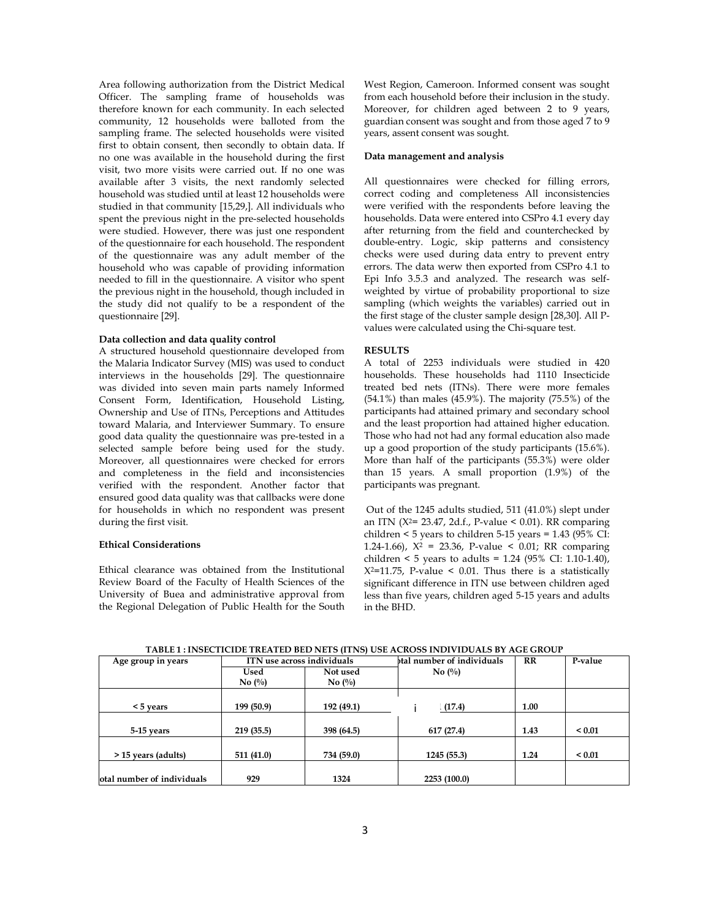Area following authorization from the District Medical Officer. The sampling frame of households was therefore known for each community. In each selected community, 12 households were balloted from the sampling frame. The selected households were visited first to obtain consent, then secondly to obtain data. If no one was available in the household during the first visit, two more visits were carried out. If no one was available after 3 visits, the next randomly selected household was studied until at least 12 households were studied in that community [15,29,]. All individuals who spent the previous night in the pre-selected households were studied. However, there was just one respondent of the questionnaire for each household. The respondent of the questionnaire was any adult member of the household who was capable of providing information needed to fill in the questionnaire. A visitor who spent the previous night in the household, though included in the study did not qualify to be a respondent of the questionnaire [29].

#### **Data collection and data quality control**

A structured household questionnaire developed from the Malaria Indicator Survey (MIS) was used to conduct interviews in the households [29]. The questionnaire was divided into seven main parts namely Informed Consent Form, Identification, Household Listing, Ownership and Use of ITNs, Perceptions and Attitudes toward Malaria, and Interviewer Summary. To ensure good data quality the questionnaire was pre-tested in a selected sample before being used for the study. Moreover, all questionnaires were checked for errors and completeness in the field and inconsistencies verified with the respondent. Another factor that ensured good data quality was that callbacks were done for households in which no respondent was present during the first visit.

#### **Ethical Considerations**

Ethical clearance was obtained from the Institutional Review Board of the Faculty of Health Sciences of the University of Buea and administrative approval from the Regional Delegation of Public Health for the South

West Region, Cameroon. Informed consent was sought from each household before their inclusion in the study. Moreover, for children aged between 2 to 9 years, guardian consent was sought and from those aged 7 to 9 years, assent consent was sought.

### **Data management and analysis**

All questionnaires were checked for filling errors, correct coding and completeness All inconsistencies were verified with the respondents before leaving the households. Data were entered into CSPro 4.1 every day after returning from the field and counterchecked by double-entry. Logic, skip patterns and consistency checks were used during data entry to prevent entry errors. The data werw then exported from CSPro 4.1 to Epi Info 3.5.3 and analyzed. The research was selfweighted by virtue of probability proportional to size sampling (which weights the variables) carried out in the first stage of the cluster sample design [28,30]. All Pvalues were calculated using the Chi-square test.

# **RESULTS**

A total of 2253 individuals were studied in 420 households. These households had 1110 Insecticide treated bed nets (ITNs). There were more females (54.1%) than males (45.9%). The majority (75.5%) of the participants had attained primary and secondary school and the least proportion had attained higher education. Those who had not had any formal education also made up a good proportion of the study participants (15.6%). More than half of the participants (55.3%) were older than 15 years. A small proportion (1.9%) of the participants was pregnant.

 Out of the 1245 adults studied, 511 (41.0%) slept under an ITN ( $X^2$ = 23.47, 2d.f., P-value < 0.01). RR comparing children < 5 years to children 5-15 years = 1.43 (95% CI: 1.24-1.66),  $X^2 = 23.36$ , P-value < 0.01; RR comparing children < 5 years to adults = 1.24 (95% CI: 1.10-1.40),  $X^2$ =11.75, P-value < 0.01. Thus there is a statistically significant difference in ITN use between children aged less than five years, children aged 5-15 years and adults in the BHD.

Age group in years **ITN** use across individuals **that in the individuals No (%) RR P-value Used No (%) Not used No (%)**   $\le$  **5 years** 199 (50.9) 192 (49.1) **11.00 11.00 5-15 years 219 (35.5) 398 (64.5) 617 (27.4) 1.43 < 0.01 > 15 years (adults) 511 (41.0) 734 (59.0) 1245 (55.3) 1.24 < 0.01 The local number of individuals**   $\begin{array}{ccc} 929 & 1324 & 2253 (100.0) \\ 2253 & 100.0) & 2253 \end{array}$ i

**TABLE 1 : INSECTICIDE TREATED BED NETS (ITNS) USE ACROSS INDIVIDUALS BY AGE GROUP**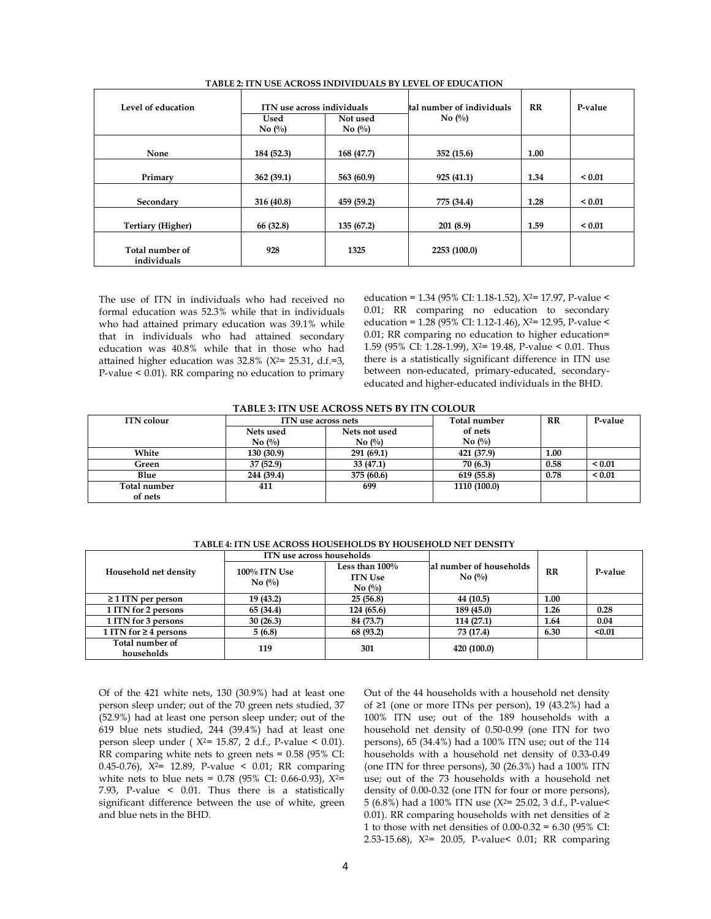| Level of education             | Used<br>No $(\%)$ | ITN use across individuals<br>Not used<br>No $\left(\frac{0}{0}\right)$ | tal number of individuals<br>No $\left(\frac{0}{0}\right)$ | $_{\rm RR}$ | P-value     |
|--------------------------------|-------------------|-------------------------------------------------------------------------|------------------------------------------------------------|-------------|-------------|
| None                           | 184 (52.3)        | 168 (47.7)                                                              | 352(15.6)                                                  | 1.00        |             |
| Primary                        | 362(39.1)         | 563 (60.9)                                                              | 925(41.1)                                                  | 1.34        | ${}_{0.01}$ |
| Secondary                      | 316 (40.8)        | 459 (59.2)                                                              | 775 (34.4)                                                 | 1.28        | ${}_{0.01}$ |
| Tertiary (Higher)              | 66 (32.8)         | 135 (67.2)                                                              | 201(8.9)                                                   | 1.59        | ${}_{0.01}$ |
| Total number of<br>individuals | 928               | 1325                                                                    | 2253 (100.0)                                               |             |             |

**TABLE 2: ITN USE ACROSS INDIVIDUALS BY LEVEL OF EDUCATION** 

The use of ITN in individuals who had received no formal education was 52.3% while that in individuals who had attained primary education was 39.1% while that in individuals who had attained secondary education was 40.8% while that in those who had attained higher education was  $32.8\%$  (X<sup>2</sup>= 25.31, d.f.=3, P-value < 0.01). RR comparing no education to primary

education = 1.34 (95% CI: 1.18-1.52), X2= 17.97, P-value < 0.01; RR comparing no education to secondary education = 1.28 (95% CI: 1.12-1.46), X2= 12.95, P-value < 0.01; RR comparing no education to higher education= 1.59 (95% CI: 1.28-1.99), X2= 19.48, P-value < 0.01. Thus there is a statistically significant difference in ITN use between non-educated, primary-educated, secondaryeducated and higher-educated individuals in the BHD.

|  | TABLE 3: ITN USE ACROSS NETS BY ITN COLOUR |  |  |
|--|--------------------------------------------|--|--|
|--|--------------------------------------------|--|--|

| <b>ITN</b> colour       | ITN use across nets |                               | Total number                  | RR   | P-value     |
|-------------------------|---------------------|-------------------------------|-------------------------------|------|-------------|
|                         | Nets used           | Nets not used                 | of nets                       |      |             |
|                         | $\mathbf{No}$ (%)   | No $\left(\frac{0}{0}\right)$ | No $\left(\frac{0}{0}\right)$ |      |             |
| White                   | 130(30.9)           | 291(69.1)                     | 421 (37.9)                    | 1.00 |             |
| Green                   | 37 (52.9)           | 33 (47.1)                     | 70 (6.3)                      | 0.58 | ${}_{0.01}$ |
| Blue                    | 244 (39.4)          | 375 (60.6)                    | 619 (55.8)                    | 0.78 | ${}_{0.01}$ |
| Total number<br>of nets | 411                 | 699                           | 1110 (100.0)                  |      |             |

**TABLE 4: ITN USE ACROSS HOUSEHOLDS BY HOUSEHOLD NET DENSITY** 

| Household net density         | ITN use across households                            |                                                                      |                                                          |      |         |
|-------------------------------|------------------------------------------------------|----------------------------------------------------------------------|----------------------------------------------------------|------|---------|
|                               | <b>100% ITN Use</b><br>No $\left(\frac{0}{0}\right)$ | Less than $100\%$<br><b>ITN Use</b><br>No $\left(\frac{0}{0}\right)$ | al number of households<br>No $\left(\frac{0}{0}\right)$ | RR   | P-value |
| $\geq$ 1 ITN per person       | 19 (43.2)                                            | 25(56.8)                                                             | 44 (10.5)                                                | 1.00 |         |
| 1 ITN for 2 persons           | 65 (34.4)                                            | 124 (65.6)                                                           | 189 (45.0)                                               | 1.26 | 0.28    |
| 1 ITN for 3 persons           | 30(26.3)                                             | 84 (73.7)                                                            | 114(27.1)                                                | 1.64 | 0.04    |
| 1 ITN for $\geq$ 4 persons    | 5(6.8)                                               | 68 (93.2)                                                            | 73 (17.4)                                                | 6.30 | < 0.01  |
| Total number of<br>households | 119                                                  | 301                                                                  | 420 (100.0)                                              |      |         |

Of of the 421 white nets, 130 (30.9%) had at least one person sleep under; out of the 70 green nets studied, 37 (52.9%) had at least one person sleep under; out of the 619 blue nets studied, 244 (39.4%) had at least one person sleep under ( $X^{2}= 15.87$ , 2 d.f., P-value < 0.01). RR comparing white nets to green nets = 0.58 (95% CI: 0.45-0.76),  $X^2$ = 12.89, P-value < 0.01; RR comparing white nets to blue nets =  $0.78$  (95% CI: 0.66-0.93),  $X^2=$ 7.93, P-value < 0.01. Thus there is a statistically significant difference between the use of white, green and blue nets in the BHD.

Out of the 44 households with a household net density of ≥1 (one or more ITNs per person), 19 (43.2%) had a 100% ITN use; out of the 189 households with a household net density of 0.50-0.99 (one ITN for two persons), 65 (34.4%) had a 100% ITN use; out of the 114 households with a household net density of 0.33-0.49 (one ITN for three persons), 30 (26.3%) had a 100% ITN use; out of the 73 households with a household net density of 0.00-0.32 (one ITN for four or more persons), 5 (6.8%) had a 100% ITN use (X2= 25.02, 3 d.f., P-value< 0.01). RR comparing households with net densities of  $\geq$ 1 to those with net densities of 0.00-0.32 = 6.30 (95% CI: 2.53-15.68), X2= 20.05, P-value< 0.01; RR comparing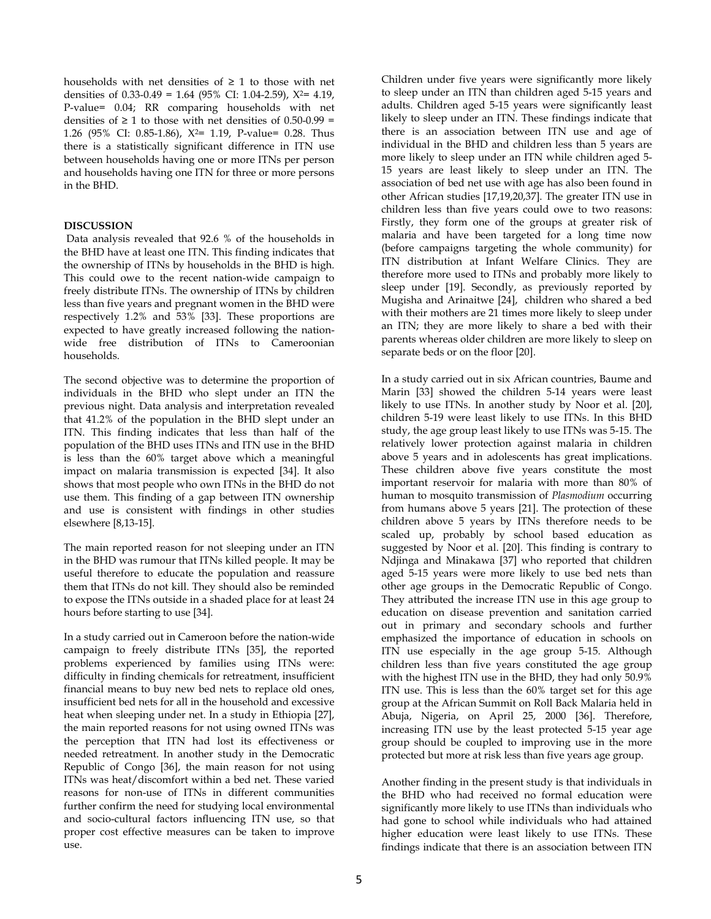households with net densities of  $\geq 1$  to those with net densities of  $0.33-0.49 = 1.64$  (95% CI: 1.04-2.59),  $X^2 = 4.19$ , P-value= 0.04; RR comparing households with net densities of  $\geq 1$  to those with net densities of 0.50-0.99 = 1.26 (95% CI: 0.85-1.86), X2= 1.19, P-value= 0.28. Thus there is a statistically significant difference in ITN use between households having one or more ITNs per person and households having one ITN for three or more persons in the BHD.

# **DISCUSSION**

 Data analysis revealed that 92.6 % of the households in the BHD have at least one ITN. This finding indicates that the ownership of ITNs by households in the BHD is high. This could owe to the recent nation-wide campaign to freely distribute ITNs. The ownership of ITNs by children less than five years and pregnant women in the BHD were respectively 1.2% and 53% [33]. These proportions are expected to have greatly increased following the nationwide free distribution of ITNs to Cameroonian households.

The second objective was to determine the proportion of individuals in the BHD who slept under an ITN the previous night. Data analysis and interpretation revealed that 41.2% of the population in the BHD slept under an ITN. This finding indicates that less than half of the population of the BHD uses ITNs and ITN use in the BHD is less than the 60% target above which a meaningful impact on malaria transmission is expected [34]. It also shows that most people who own ITNs in the BHD do not use them. This finding of a gap between ITN ownership and use is consistent with findings in other studies elsewhere [8,13-15].

The main reported reason for not sleeping under an ITN in the BHD was rumour that ITNs killed people. It may be useful therefore to educate the population and reassure them that ITNs do not kill. They should also be reminded to expose the ITNs outside in a shaded place for at least 24 hours before starting to use [34].

In a study carried out in Cameroon before the nation-wide campaign to freely distribute ITNs [35], the reported problems experienced by families using ITNs were: difficulty in finding chemicals for retreatment, insufficient financial means to buy new bed nets to replace old ones, insufficient bed nets for all in the household and excessive heat when sleeping under net. In a study in Ethiopia [27], the main reported reasons for not using owned ITNs was the perception that ITN had lost its effectiveness or needed retreatment. In another study in the Democratic Republic of Congo [36], the main reason for not using ITNs was heat/discomfort within a bed net. These varied reasons for non-use of ITNs in different communities further confirm the need for studying local environmental and socio-cultural factors influencing ITN use, so that proper cost effective measures can be taken to improve use.

Children under five years were significantly more likely to sleep under an ITN than children aged 5-15 years and adults. Children aged 5-15 years were significantly least likely to sleep under an ITN. These findings indicate that there is an association between ITN use and age of individual in the BHD and children less than 5 years are more likely to sleep under an ITN while children aged 5- 15 years are least likely to sleep under an ITN. The association of bed net use with age has also been found in other African studies [17,19,20,37]. The greater ITN use in children less than five years could owe to two reasons: Firstly, they form one of the groups at greater risk of malaria and have been targeted for a long time now (before campaigns targeting the whole community) for ITN distribution at Infant Welfare Clinics. They are therefore more used to ITNs and probably more likely to sleep under [19]. Secondly, as previously reported by Mugisha and Arinaitwe [24], children who shared a bed with their mothers are 21 times more likely to sleep under an ITN; they are more likely to share a bed with their parents whereas older children are more likely to sleep on separate beds or on the floor [20].

In a study carried out in six African countries, Baume and Marin [33] showed the children 5-14 years were least likely to use ITNs. In another study by Noor et al. [20], children 5-19 were least likely to use ITNs. In this BHD study, the age group least likely to use ITNs was 5-15. The relatively lower protection against malaria in children above 5 years and in adolescents has great implications. These children above five years constitute the most important reservoir for malaria with more than 80% of human to mosquito transmission of *Plasmodium* occurring from humans above 5 years [21]. The protection of these children above 5 years by ITNs therefore needs to be scaled up, probably by school based education as suggested by Noor et al. [20]. This finding is contrary to Ndjinga and Minakawa [37] who reported that children aged 5-15 years were more likely to use bed nets than other age groups in the Democratic Republic of Congo. They attributed the increase ITN use in this age group to education on disease prevention and sanitation carried out in primary and secondary schools and further emphasized the importance of education in schools on ITN use especially in the age group 5-15. Although children less than five years constituted the age group with the highest ITN use in the BHD, they had only 50.9% ITN use. This is less than the 60% target set for this age group at the African Summit on Roll Back Malaria held in Abuja, Nigeria, on April 25, 2000 [36]. Therefore, increasing ITN use by the least protected 5-15 year age group should be coupled to improving use in the more protected but more at risk less than five years age group.

Another finding in the present study is that individuals in the BHD who had received no formal education were significantly more likely to use ITNs than individuals who had gone to school while individuals who had attained higher education were least likely to use ITNs. These findings indicate that there is an association between ITN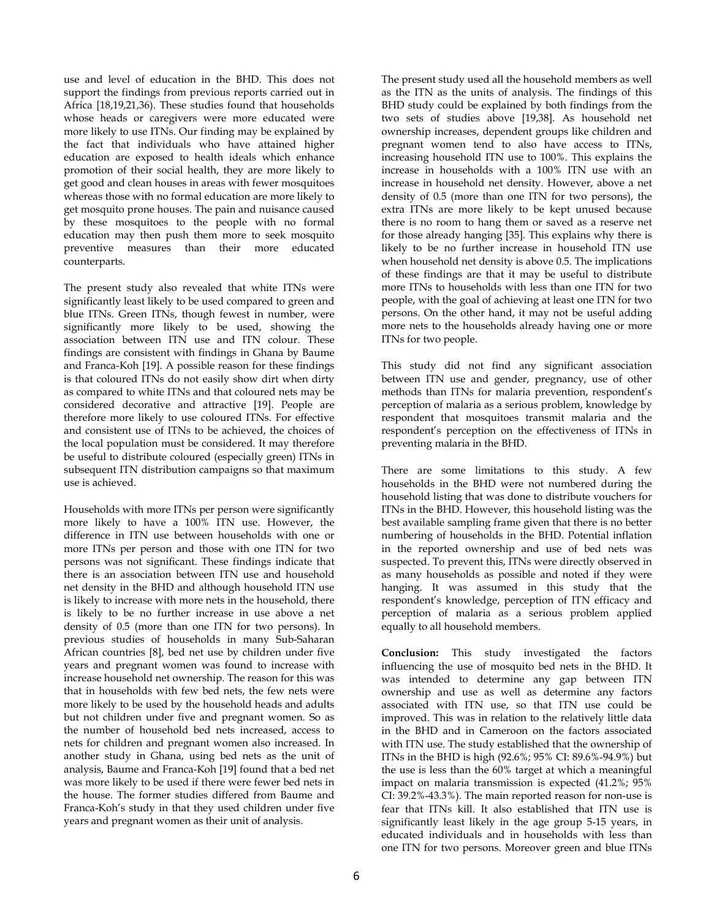use and level of education in the BHD. This does not support the findings from previous reports carried out in Africa [18,19,21,36). These studies found that households whose heads or caregivers were more educated were more likely to use ITNs. Our finding may be explained by the fact that individuals who have attained higher education are exposed to health ideals which enhance promotion of their social health, they are more likely to get good and clean houses in areas with fewer mosquitoes whereas those with no formal education are more likely to get mosquito prone houses. The pain and nuisance caused by these mosquitoes to the people with no formal education may then push them more to seek mosquito preventive measures than their more educated counterparts.

The present study also revealed that white ITNs were significantly least likely to be used compared to green and blue ITNs. Green ITNs, though fewest in number, were significantly more likely to be used, showing the association between ITN use and ITN colour. These findings are consistent with findings in Ghana by Baume and Franca-Koh [19]. A possible reason for these findings is that coloured ITNs do not easily show dirt when dirty as compared to white ITNs and that coloured nets may be considered decorative and attractive [19]. People are therefore more likely to use coloured ITNs. For effective and consistent use of ITNs to be achieved, the choices of the local population must be considered. It may therefore be useful to distribute coloured (especially green) ITNs in subsequent ITN distribution campaigns so that maximum use is achieved.

Households with more ITNs per person were significantly more likely to have a 100% ITN use. However, the difference in ITN use between households with one or more ITNs per person and those with one ITN for two persons was not significant. These findings indicate that there is an association between ITN use and household net density in the BHD and although household ITN use is likely to increase with more nets in the household, there is likely to be no further increase in use above a net density of 0.5 (more than one ITN for two persons). In previous studies of households in many Sub-Saharan African countries [8], bed net use by children under five years and pregnant women was found to increase with increase household net ownership. The reason for this was that in households with few bed nets, the few nets were more likely to be used by the household heads and adults but not children under five and pregnant women. So as the number of household bed nets increased, access to nets for children and pregnant women also increased. In another study in Ghana, using bed nets as the unit of analysis, Baume and Franca-Koh [19] found that a bed net was more likely to be used if there were fewer bed nets in the house. The former studies differed from Baume and Franca-Koh's study in that they used children under five years and pregnant women as their unit of analysis.

The present study used all the household members as well as the ITN as the units of analysis. The findings of this BHD study could be explained by both findings from the two sets of studies above [19,38]. As household net ownership increases, dependent groups like children and pregnant women tend to also have access to ITNs, increasing household ITN use to 100%. This explains the increase in households with a 100% ITN use with an increase in household net density. However, above a net density of 0.5 (more than one ITN for two persons), the extra ITNs are more likely to be kept unused because there is no room to hang them or saved as a reserve net for those already hanging [35]. This explains why there is likely to be no further increase in household ITN use when household net density is above 0.5. The implications of these findings are that it may be useful to distribute more ITNs to households with less than one ITN for two people, with the goal of achieving at least one ITN for two persons. On the other hand, it may not be useful adding more nets to the households already having one or more ITNs for two people.

This study did not find any significant association between ITN use and gender, pregnancy, use of other methods than ITNs for malaria prevention, respondent's perception of malaria as a serious problem, knowledge by respondent that mosquitoes transmit malaria and the respondent's perception on the effectiveness of ITNs in preventing malaria in the BHD.

There are some limitations to this study. A few households in the BHD were not numbered during the household listing that was done to distribute vouchers for ITNs in the BHD. However, this household listing was the best available sampling frame given that there is no better numbering of households in the BHD. Potential inflation in the reported ownership and use of bed nets was suspected. To prevent this, ITNs were directly observed in as many households as possible and noted if they were hanging. It was assumed in this study that the respondent's knowledge, perception of ITN efficacy and perception of malaria as a serious problem applied equally to all household members.

**Conclusion:** This study investigated the factors influencing the use of mosquito bed nets in the BHD. It was intended to determine any gap between ITN ownership and use as well as determine any factors associated with ITN use, so that ITN use could be improved. This was in relation to the relatively little data in the BHD and in Cameroon on the factors associated with ITN use. The study established that the ownership of ITNs in the BHD is high (92.6%; 95% CI: 89.6%-94.9%) but the use is less than the 60% target at which a meaningful impact on malaria transmission is expected (41.2%; 95% CI: 39.2%-43.3%). The main reported reason for non-use is fear that ITNs kill. It also established that ITN use is significantly least likely in the age group 5-15 years, in educated individuals and in households with less than one ITN for two persons. Moreover green and blue ITNs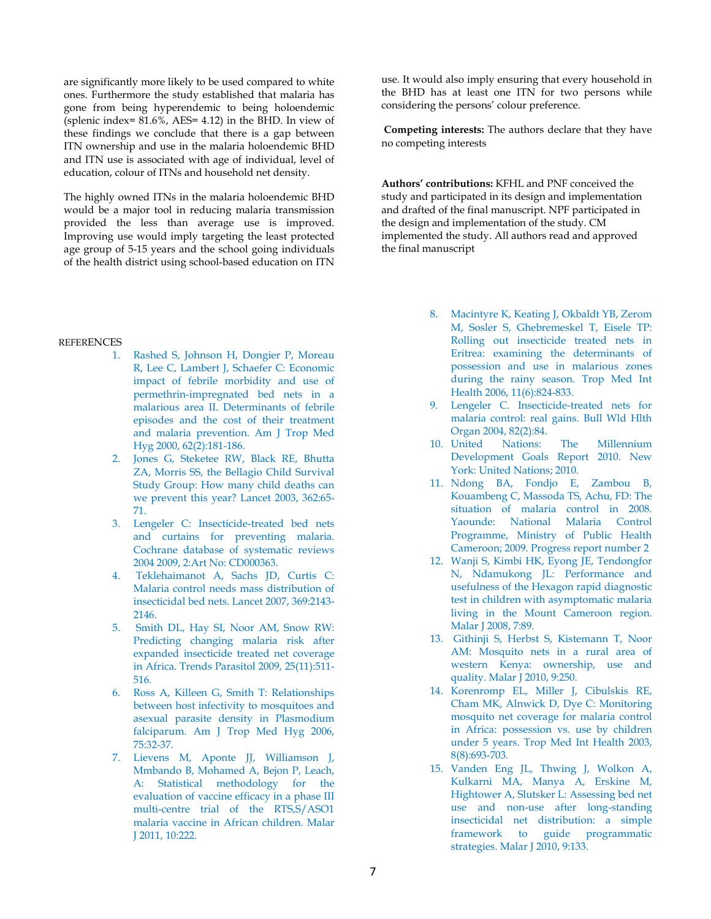are significantly more likely to be used compared to white ones. Furthermore the study established that malaria has gone from being hyperendemic to being holoendemic (splenic index= 81.6%, AES= 4.12) in the BHD. In view of these findings we conclude that there is a gap between ITN ownership and use in the malaria holoendemic BHD and ITN use is associated with age of individual, level of education, colour of ITNs and household net density.

The highly owned ITNs in the malaria holoendemic BHD would be a major tool in reducing malaria transmission provided the less than average use is improved. Improving use would imply targeting the least protected age group of 5-15 years and the school going individuals of the health district using school-based education on ITN

## **REFERENCES**

- 1. Rashed S, Johnson H, Dongier P, Moreau R, Lee C, Lambert J, Schaefer C: Economic impact of febrile morbidity and use of permethrin-impregnated bed nets in a malarious area II. Determinants of febrile episodes and the cost of their treatment and malaria prevention. Am J Trop Med Hyg 2000, 62(2):181-186.
- 2. Jones G, Steketee RW, Black RE, Bhutta ZA, Morris SS, the Bellagio Child Survival Study Group: How many child deaths can we prevent this year? Lancet 2003, 362:65- 71.
- 3. Lengeler C: Insecticide-treated bed nets and curtains for preventing malaria. Cochrane database of systematic reviews 2004 2009, 2:Art No: CD000363.
- 4. Teklehaimanot A, Sachs JD, Curtis C: Malaria control needs mass distribution of insecticidal bed nets. Lancet 2007, 369:2143- 2146.
- 5. Smith DL, Hay SI, Noor AM, Snow RW: Predicting changing malaria risk after expanded insecticide treated net coverage in Africa. Trends Parasitol 2009, 25(11):511- 516.
- 6. Ross A, Killeen G, Smith T: Relationships between host infectivity to mosquitoes and asexual parasite density in Plasmodium falciparum. Am J Trop Med Hyg 2006, 75:32-37.
- 7. Lievens M, Aponte JJ, Williamson J, Mmbando B, Mohamed A, Bejon P, Leach, A: Statistical methodology for the evaluation of vaccine efficacy in a phase III multi-centre trial of the RTS,S/ASO1 malaria vaccine in African children. Malar J 2011, 10:222.

use. It would also imply ensuring that every household in the BHD has at least one ITN for two persons while considering the persons' colour preference.

 **Competing interests:** The authors declare that they have no competing interests

**Authors' contributions:** KFHL and PNF conceived the study and participated in its design and implementation and drafted of the final manuscript. NPF participated in the design and implementation of the study. CM implemented the study. All authors read and approved the final manuscript

- 8. Macintyre K, Keating J, Okbaldt YB, Zerom M, Sosler S, Ghebremeskel T, Eisele TP: Rolling out insecticide treated nets in Eritrea: examining the determinants of possession and use in malarious zones during the rainy season. Trop Med Int Health 2006, 11(6):824-833.
- 9. Lengeler C. Insecticide-treated nets for malaria control: real gains. Bull Wld Hlth Organ 2004, 82(2):84.
- 10. United Nations: The Millennium Development Goals Report 2010. New York: United Nations; 2010.
- 11. Ndong BA, Fondjo E, Zambou B, Kouambeng C, Massoda TS, Achu, FD: The situation of malaria control in 2008. Yaounde: National Malaria Control Programme, Ministry of Public Health Cameroon; 2009. Progress report number 2
- 12. Wanji S, Kimbi HK, Eyong JE, Tendongfor N, Ndamukong JL: Performance and usefulness of the Hexagon rapid diagnostic test in children with asymptomatic malaria living in the Mount Cameroon region. Malar J 2008, 7:89.
- 13. Githinji S, Herbst S, Kistemann T, Noor AM: Mosquito nets in a rural area of western Kenya: ownership, use and quality. Malar J 2010, 9:250.
- 14. Korenromp EL, Miller J, Cibulskis RE, Cham MK, Alnwick D, Dye C: Monitoring mosquito net coverage for malaria control in Africa: possession vs. use by children under 5 years. Trop Med Int Health 2003, 8(8):693-703.
- 15. Vanden Eng JL, Thwing J, Wolkon A, Kulkarni MA, Manya A, Erskine M, Hightower A, Slutsker L: Assessing bed net use and non-use after long-standing insecticidal net distribution: a simple framework to guide programmatic strategies. Malar J 2010, 9:133.